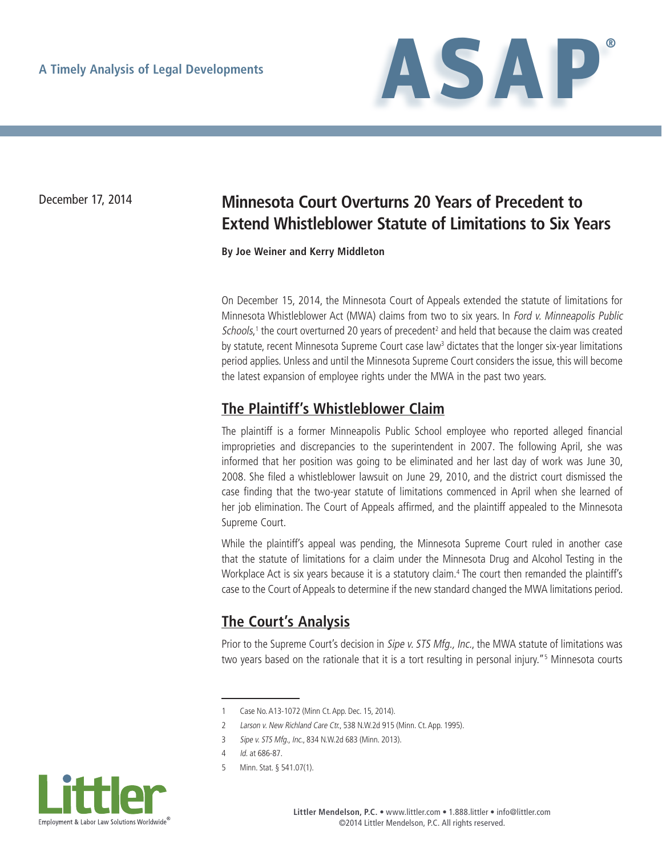

# December 17, 2014 **Minnesota Court Overturns 20 Years of Precedent to Extend Whistleblower Statute of Limitations to Six Years**

**By Joe Weiner and Kerry Middleton**

On December 15, 2014, the Minnesota Court of Appeals extended the statute of limitations for Minnesota Whistleblower Act (MWA) claims from two to six years. In Ford v. Minneapolis Public Schools,<sup>1</sup> the court overturned 20 years of precedent<sup>2</sup> and held that because the claim was created by statute, recent Minnesota Supreme Court case law<sup>3</sup> dictates that the longer six-year limitations period applies. Unless and until the Minnesota Supreme Court considers the issue, this will become the latest expansion of employee rights under the MWA in the past two years.

### **The Plaintiff's Whistleblower Claim**

The plaintiff is a former Minneapolis Public School employee who reported alleged financial improprieties and discrepancies to the superintendent in 2007. The following April, she was informed that her position was going to be eliminated and her last day of work was June 30, 2008. She filed a whistleblower lawsuit on June 29, 2010, and the district court dismissed the case finding that the two-year statute of limitations commenced in April when she learned of her job elimination. The Court of Appeals affirmed, and the plaintiff appealed to the Minnesota Supreme Court.

While the plaintiff's appeal was pending, the Minnesota Supreme Court ruled in another case that the statute of limitations for a claim under the Minnesota Drug and Alcohol Testing in the Workplace Act is six years because it is a statutory claim.<sup>4</sup> The court then remanded the plaintiff's case to the Court of Appeals to determine if the new standard changed the MWA limitations period.

### **The Court's Analysis**

Prior to the Supreme Court's decision in Sipe v. STS Mfg., Inc., the MWA statute of limitations was two years based on the rationale that it is a tort resulting in personal injury."5 Minnesota courts

<sup>5</sup> Minn. Stat. § 541.07(1).



<sup>1</sup> Case No. A13-1072 (Minn Ct. App. Dec. 15, 2014).

<sup>2</sup> Larson v. New Richland Care Ctr., 538 N.W.2d 915 (Minn. Ct. App. 1995).

<sup>3</sup> Sipe v. STS Mfg., Inc., 834 N.W.2d 683 (Minn. 2013).

<sup>4</sup> Id. at 686-87.